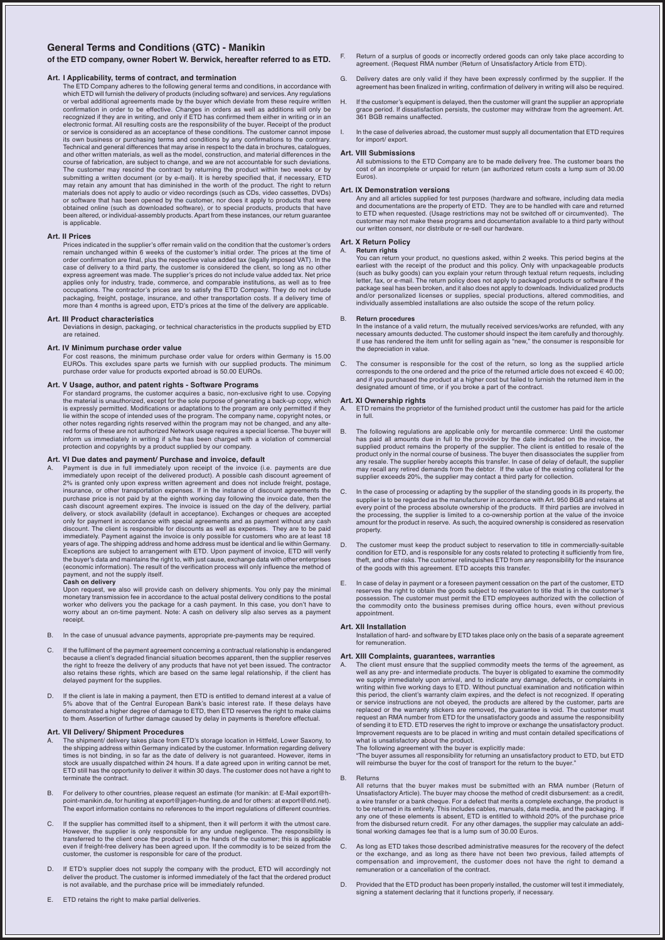# **General Terms and Conditions (GTC) - Manikin**

## **of the ETD company, owner Robert W. Berwick, hereafter referred to as ETD.**

## **Art. I Applicability, terms of contract, and termination**

The ETD Company adheres to the following general terms and conditions, in accordance with which ETD will furnish the delivery of products (including software) and services. Any regulations or verbal additional agreements made by the buyer which deviate from these require written<br>confirmation in order to be effective. Changes in orders as well as additions will only be<br>recognized if they are in writing, and o electronic format. All resulting costs are the responsibility of the buyer. Receipt of the product or service is considered as an acceptance of these conditions. The customer cannot impose its own business or purchasing terms and conditions by any confirmations to the contrary. Technical and general differences that may arise in respect to the data in brochures, catalogues, and other written materials, as well as the model, construction, and material differences in the course of fabrication, are subject to change, and we are not accountable for such deviations. The customer may rescind the contract by returning the product within two weeks or by<br>submitting a written document (or by e-mail). It is hereby specified that, if necessary, ETD<br>may retain any amount that has diminished i materials does not apply to audio or video recordings (such as CDs, video cassettes, DVDs) or software that has been opened by the customer, nor does it apply to products that were obtained online (such as downloaded software), or to special products, products that have been altered, or individual-assembly products. Apart from these instances, our return guarantee is applicable.

#### **Art. II Prices**

Prices indicated in the supplier's offer remain valid on the condition that the customer's orders remain unchanged within 6 weeks of the customer's initial order. The prices at the time of<br>order confirmation are final, plus the respective value added tax (legally imposed VAT). In the<br>case of delivery to a third party, express agreement was made. The supplier's prices do not include value added tax. Net price applies only for industry, trade, commerce, and comparable institutions, as well as to free<br>occupations. The contractor's prices are to satisfy the ETD Company. They do not include<br>packaging, freight, postage, insurance, a more than 4 months is agreed upon, ETD's prices at the time of the delivery are applicable.

#### **Art. III Product characteristics**

Deviations in design, packaging, or technical characteristics in the products supplied by ETD are retained.

# **Art. IV Minimum purchase order value**

For cost reasons, the minimum purchase order value for orders within Germany is 15.00 EUROs. This excludes spare parts we furnish with our supplied products. The minimum purchase order value for products exported abroad is 50.00 EUROs.

## **Art. V Usage, author, and patent rights - Software Programs**

For standard programs, the customer acquires a basic, non-exclusive right to use. Copying the material is unauthorized, except for the sole purpose of generating a back-up copy, which is expressly permitted. Modifications or adaptations to the program are only permitted if they<br>lie within the scope of intended uses of the program. The company name, copyright notes, or<br>other notes regarding rights reserv red forms of these are not authorized Network usage requires a special license. The buyer will inform us immediately in writing if s/he has been charged with a violation of commercial protection and copyrights by a product supplied by our company.

### **Art. VI Due dates and payment/ Purchase and invoice, default**

A. Payment is due in full immediately upon receipt of the invoice (i.e. payments are due<br>immediately upon receipt of the delivered product). A possible cash discount agreement of<br> $2\%$  is granted only upon express written only for payment in accordance with special agreements and as payment without any cash<br>discount. The client is responsible for discounts as well as expenses. They are to be paid<br>immediately. Payment against the invoice is the buyer's data and maintains the right to, with just cause, exchange data with other enterprises (economic information). The result of the verification process will only influence the method of payment, and not the supply itself.

**Cash on delivery** Upon request, we also will provide cash on delivery shipments. You only pay the minimal monetary transmission fee in accordance to the actual postal delivery conditions to the postal worker who delivers you the package for a cash payment. In this case, you don't have to worry about an on-time payment. Note: A cash on delivery slip also serves as a payment receipt.

- B. In the case of unusual advance payments, appropriate pre-payments may be required.
- C. If the fulfilment of the payment agreement concerning a contractual relationship is endangered because a client's degraded financial situation becomes apparent, then the supplier reserves the right to freeze the delivery of any products that have not yet been issued. The contractor also retains these rights, which are based on the same legal relationship, if the client has delayed payment for the supplies.
- If the client is late in making a payment, then ETD is entitled to demand interest at a value of 5% above that of the Central European Bank's basic interest rate. If these delays have<br>demonstrated a higher degree of damage to ETD, then ETD reserves the right to make claims<br>to them. Assertion of further damage caused b

## **Art. VII Delivery/ Shipment Procedures**

- A. The shipment/ delivery takes place from ETD's storage location in Hittfeld, Lower Saxony, to the shipping address within Germany indicated by the customer. Information regarding delivery times is not binding, in so far as the date of delivery is not guaranteed. However, items in stock are usually dispatched within 24 hours. If a date agreed upon in writing cannot be met ETD still has the opportunity to deliver it within 30 days. The customer does not have a right to terminate the contract.
- B. For delivery to other countries, please request an estimate (for manikin: at E-Mail export@hpoint-manikin.de, for huniting at export@jagen-hunting.de and for others: at export@etd.net). The export information contains no references to the import regulations of different countries.
- If the supplier has committed itself to a shipment, then it will perform it with the utmost care However, the supplier is only responsible for any undue negligence. The responsibility is<br>transferred to the client once the product is in the hands of the customer; this is applicable<br>even if freight-free delivery has bee customer, the customer is responsible for care of the product.
- D. If ETD's supplier does not supply the company with the product, ETD will accordingly not<br>deliver the product. The customer is informed immediately of the fact that the ordered product<br>is not available, and the purchase
- E. ETD retains the right to make partial deliveries.
- F. Return of a surplus of goods or incorrectly ordered goods can only take place according to agreement. (Request RMA number (Return of Unsatisfactory Article from ETD).
- G. Delivery dates are only valid if they have been expressly confirmed by the supplier. If the agreement has been finalized in writing, confirmation of delivery in writing will also be required.
- H. If the customer's equipment is delayed, then the customer will grant the supplier an appropriate grace period. If dissatisfaction persists, the customer may withdraw from the agreement. Art. 361 BGB remains unaffected.
	- In the case of deliveries abroad, the customer must supply all documentation that ETD requires for import/ export.

#### **Art. VIII Submissions**

All submissions to the ETD Company are to be made delivery free. The customer bears the cost of an incomplete or unpaid for return (an authorized return costs a lump sum of 30.00 Euros).

#### **Art. IX Demonstration versions**

Any and all articles supplied for test purposes (hardware and software, including data media and documentations are the property of ETD. They are to be handled with care and returned to ETD when requested. (Usage restrictions may not be switched off or circumvented). The customer may not make these programs and documentation available to a third party without our written consent, nor distribute or re-sell our hardware.

#### **Art. X Return Policy** A. **Return rights**

You can return your product, no questions asked, within 2 weeks. This period begins at the earliest with the receipt of the product and this policy. Only with unpackageable products (such as bulky goods) can you explain your return through textual return requests, including letter, fax, or e-mail. The return policy does not apply to packaged products or software if the package seal has been broken, and it also does not apply to downloads. Individualized products and/or personalized licenses or supplies, special productions, altered commodities, and individually assembled installations are also outside the scope of the return policy.

B. **Return procedures** In the instance of a valid return, the mutually received services/works are refunded, with any necessary amounts deducted. The customer should inspect the item carefully and thoroughly. If use has rendered the item unfit for selling again as "new," the consumer is responsible for the depreciation in value.

C. The consumer is responsible for the cost of the return, so long as the supplied article corresponds to the one ordered and the price of the returned article does not exceed € 40.00; and if you purchased the product at a higher cost but failed to furnish the returned item in the designated amount of time, or if you broke a part of the contract.

### **Art. XI Ownership rights**

- A. ETD remains the proprietor of the furnished product until the customer has paid for the article in full.
- B. The following regulations are applicable only for mercantile commerce: Until the customer has paid all amounts due in full to the provider by the date indicated on the invoice, the supplied product remains the property of the supplier. The client is entitled to resale of the<br>product only in the normal course of business. The buyer then disassociates the supplier from<br>any resale. The supplier hereby a may recall any retired demands from the debtor. If the value of the existing collateral for the may recall any retired demands from the debtor. If the value of the existing collateral for the supplier exceeds 20%, the supplier may contact a third party for collection.
- C. In the case of processing or adapting by the supplier of the standing goods in its property, the supplier o<br>supplier is to be regarded as the manufacturer in accordance with Art. 950 BGB and retains at<br>every point of th the processing, the supplier is limited to a co-ownership portion at the value of the invoice amount for the product in reserve. As such, the acquired ownership is considered as reservation property.
- D. The customer must keep the product subject to reservation to title in commercially-suitable condition for ETD, and is responsible for any costs related to protecting it sufficiently from fire,<br>theft, and other risks. The customer relinquishes ETD from any responsibility for the insurance<br>of the goods with this ag
- In case of delay in payment or a foreseen payment cessation on the part of the customer, ETD reserves the right to obtain the goods subject to reservation to title that is in the customer's possession. The customer must permit the ETD employees authorized with the collection of the commodity onto the business premises during office hours, even without previous appointment.

#### **Art. XII Installation**

Installation of hard- and software by ETD takes place only on the basis of a separate agreement for remuneration.

#### **Art. XIII Complaints, guarantees, warranties**

The client must ensure that the supplied commodity meets the terms of the agreement, as well as any pre- and intermediate products. The buyer is obligated to examine the commodity<br>we supply immediately upon arrival, and to indicate any damage, defects, or complaints in<br>writing within five working days to ETD. replaced or the warranty stickers are removed, the guarantee is void. The customer must request an RMA number from ETD for the unsatisfactory goods and assume the responsibility of sending it to ETD. ETD reserves the right to improve or exchange the unsatisfactory product. Improvement requests are to be placed in writing and must contain detailed specifications of what is unsatisfactory about the product.

The following agreement with the buyer is explicitly made: "The buyer assumes all responsibility for returning an unsatisfactory product to ETD, but ETD will reimburse the buyer for the cost of transport for the return to the buyer."

#### B. Returns

- All returns that the buyer makes must be submitted with an RMA number (Return of Unsatisfactory Article). The buyer may choose the method of credit disbursement: as a credit,<br>a wire transfer or a bank cheque. For a defect that merits a complete exchange, the product is<br>to be returned in its entirety. T any one of these elements is absent, ETD is entitled to withhold 20% of the purchase price from the disbursed return credit. For any other damages, the supplier may calculate an additional working damages fee that is a lump sum of 30.00 Euros.
- C. As long as ETD takes those described administrative measures for the recovery of the defect or the exchange, and as long as there have not been two previous, failed attempts of compensation and improvement, the customer does not have the right to demand a remuneration or a cancellation of the contract.
- D. Provided that the ETD product has been properly installed, the customer will test it immediately, signing a statement declaring that it functions properly, if necessary.